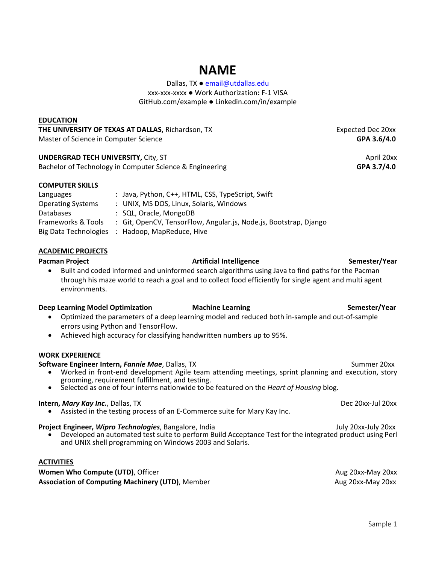## **NAME**

Dallas, TX ● [email@utdallas.edu](mailto:email@utdallas.edu) xxx-xxx-xxxx ● Work Authorization**:** F-1 VISA GitHub.com/example ● Linkedin.com/in/example

#### **EDUCATION**

**THE UNIVERSITY OF TEXAS AT DALLAS, Richardson, TX Expected Dec 20xx** Master of Science in Computer Science **GPA 3.6/4.0**

#### **UNDERGRAD TECH UNIVERSITY, City, ST April 20xx** April 20xx

Bachelor of Technology in Computer Science & Engineering **GPA 3.7/4.0 GPA 3.7/4.0** 

#### **COMPUTER SKILLS**

| Languages                | : Java, Python, C++, HTML, CSS, TypeScript, Swift                 |
|--------------------------|-------------------------------------------------------------------|
| <b>Operating Systems</b> | : UNIX, MS DOS, Linux, Solaris, Windows                           |
| Databases                | : SQL, Oracle, MongoDB                                            |
| Frameworks & Tools       | : Git, OpenCV, TensorFlow, Angular.js, Node.js, Bootstrap, Django |
| Big Data Technologies    | : Hadoop, MapReduce, Hive                                         |

#### **ACADEMIC PROJECTS**

**Pacman Project Artificial Intelligence Artificial Intelligence Semester/Year** 

• Built and coded informed and uninformed search algorithms using Java to find paths for the Pacman through his maze world to reach a goal and to collect food efficiently for single agent and multi agent environments.

#### **Deep Learning Model Optimization and Machine Learning Semester/Year Semester/Year**

- Optimized the parameters of a deep learning model and reduced both in-sample and out-of-sample errors using Python and TensorFlow.
- Achieved high accuracy for classifying handwritten numbers up to 95%.

#### **WORK EXPERIENCE**

#### **Software Engineer Intern,** *Fannie Mae*, Dallas, TX Summer 20xx Summer 20xx

- Worked in front-end development Agile team attending meetings, sprint planning and execution, story grooming, requirement fulfillment, and testing.
- Selected as one of four interns nationwide to be featured on the *Heart of Housing* blog.

#### **Intern,** *Mary Kay Inc.***, Dallas, TX <b>***Dec 20xx-Jul 20xx* **Dec 20xx-Jul 20xx**

• Assisted in the testing process of an E-Commerce suite for Mary Kay Inc.

#### **Project Engineer,** *Wipro Technologies*, Bangalore, IndiaJuly 20xx-July 20xx

• Developed an automated test suite to perform Build Acceptance Test for the integrated product using Perl and UNIX shell programming on Windows 2003 and Solaris.

#### **ACTIVITIES**

**Women Who Compute (UTD)**, Officer Aug 20xx-May 20xx-May 20xx-May 20xx **Association of Computing Machinery (UTD)**, Member **Aug 20xx-May 20xx-May 20xx**-May 20xx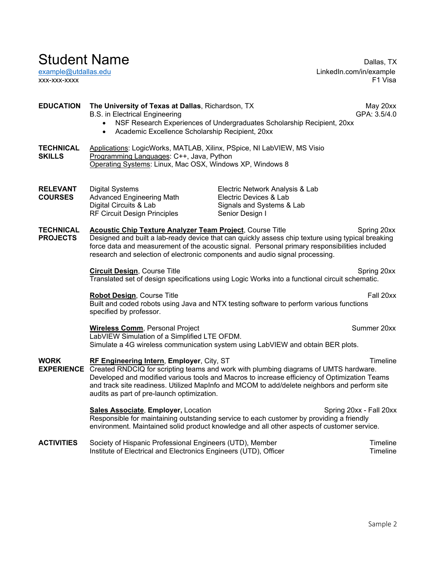Student Name<br>
example@utdallas.edu<br>
example@utdallas.edu<br>
example@utdallas.edu LinkedIn.com/in/example xxx-xxx-xxxx F1 Visa

### **EDUCATION The University of Texas at Dallas**, Richardson, TX May 20xx<br>B.S. in Electrical Engineering May 20xx<br>GPA: 3.5/4.0 B.S. in Electrical Engineering • NSF Research Experiences of Undergraduates Scholarship Recipient, 20xx • Academic Excellence Scholarship Recipient, 20xx **TECHNICAL** Applications: LogicWorks, MATLAB, Xilinx, PSpice, NI LabVIEW, MS Visio<br>**SKILLS** Programming Languages: C++. Java. Python Programming Languages: C++, Java, Python Operating Systems: Linux, Mac OSX, Windows XP, Windows 8 **RELEVANT** Digital Systems **Electric Network Analysis & Lab COURSES** Advanced Engineering Math **Electric Devices & Lab**<br>
Digital Circuits & Lab Signals and Systems & Signals and Systems & Lab<br>Senior Design I RF Circuit Design Principles **TECHNICAL** Acoustic Chip Texture Analyzer Team Project, Course Title Spring 20xx<br>**PROJECTS** Designed and built a lab-ready device that can quickly assess chip texture using typical breaking Designed and built a lab-ready device that can quickly assess chip texture using typical breaking force data and measurement of the acoustic signal. Personal primary responsibilities included research and selection of electronic components and audio signal processing. **Circuit Design**, Course Title **Spring 20xx** Translated set of design specifications using Logic Works into a functional circuit schematic. **Robot Design**, Course Title **Fall 20xx** Built and coded robots using Java and NTX testing software to perform various functions specified by professor. **Wireless Comm**, Personal Project **Summer 20xx** Summer 20xx LabVIEW Simulation of a Simplified LTE OFDM. Simulate a 4G wireless communication system using LabVIEW and obtain BER plots. **WORK RF Engineering Intern**, **Employer**, City, ST Timeline **EXPERIENCE** Created RNDCIQ for scripting teams and work with plumbing diagrams of UMTS hardware. Developed and modified various tools and Macros to increase efficiency of Optimization Teams and track site readiness. Utilized MapInfo and MCOM to add/delete neighbors and perform site audits as part of pre-launch optimization. **Sales Associate, Employer, Location Superversion Spring 20xx - Fall 20xx** Responsible for maintaining outstanding service to each customer by providing a friendly environment. Maintained solid product knowledge and all other aspects of customer service. **ACTIVITIES** Society of Hispanic Professional Engineers (UTD), Member The Timeline<br>Institute of Electrical and Electronics Engineers (UTD), Officer Institute of Electrical and Electronics Engineers (UTD), Officer